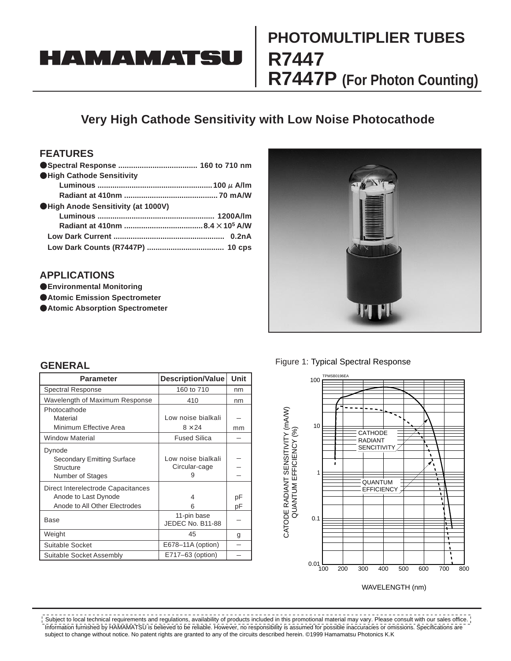# **HAMAMATSU**

# **PHOTOMULTlPLlER TUBES R7447 R7447P (For Photon Counting)**

### **Very High Cathode Sensitivity with Low Noise Photocathode**

### **FEATURES**

| <b>OHigh Cathode Sensitivity</b>  |  |
|-----------------------------------|--|
|                                   |  |
|                                   |  |
| High Anode Sensitivity (at 1000V) |  |
|                                   |  |
|                                   |  |
|                                   |  |
|                                   |  |
|                                   |  |

#### **APPLICATIONS**

- **Environmental Monitoring**
- **Atomic Emission Spectrometer**
- **Atomic Absorption Spectrometer**





#### **GENERAL**

| <b>Parameter</b>                                                                            | <b>Description/Value</b>                 | Unit     |
|---------------------------------------------------------------------------------------------|------------------------------------------|----------|
| <b>Spectral Response</b>                                                                    | 160 to 710                               | nm       |
| Wavelength of Maximum Response                                                              | 410                                      | nm       |
| Photocathode<br>Material<br>Minimum Effective Area                                          | Low noise bialkali<br>$8 \times 24$      | mm       |
| <b>Window Material</b>                                                                      | <b>Fused Silica</b>                      |          |
| Dynode<br><b>Secondary Emitting Surface</b><br>Structure<br>Number of Stages                | Low noise bialkali<br>Circular-cage<br>9 |          |
| Direct Interelectrode Capacitances<br>Anode to Last Dynode<br>Anode to All Other Electrodes | 4<br>6                                   | рF<br>pF |
| Base                                                                                        | 11-pin base<br>JEDEC No. B11-88          |          |
| Weight                                                                                      | 45                                       | g        |
| Suitable Socket                                                                             | E678-11A (option)                        |          |
| Suitable Socket Assembly                                                                    | E717-63 (option)                         |          |



Information furnished by HAMAMATSU is believed to be reliable. However, no responsibility is assumed for possible inaccuracies or omissions. Specifications are subject to change without notice. No patent rights are granted to any of the circuits described herein. ©1999 Hamamatsu Photonics K.K Subject to local technical requirements and regulations, availability of products included in this promotional material may vary. Please consult with our sales office.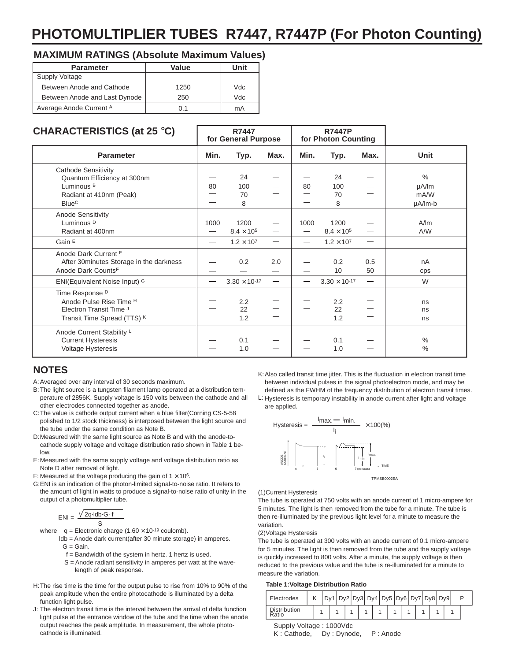## **PHOTOMULTlPLlER TUBES R7447, R7447P (For Photon Counting)**

#### **MAXIMUM RATINGS (Absolute Maximum Values)**

| <b>Parameter</b>              | Value | Unit |  |  |  |
|-------------------------------|-------|------|--|--|--|
| <b>Supply Voltage</b>         |       |      |  |  |  |
| Between Anode and Cathode     | 1250  | Vdc  |  |  |  |
| Between Anode and Last Dynode | 250   | Vdc  |  |  |  |
| Average Anode Current A       | 0.1   | mA   |  |  |  |

#### **CHARACTERISTlCS (at 25** °**C)**

| VIRING FINOTIOU (at 25 U                |      | 111777<br>for General Purpose |                                  |                          | . <del>. .</del><br>for Photon Counting |      |               |
|-----------------------------------------|------|-------------------------------|----------------------------------|--------------------------|-----------------------------------------|------|---------------|
| <b>Parameter</b>                        | Min. | Typ.                          | Max.                             | Min.                     | Typ.                                    | Max. | <b>Unit</b>   |
| <b>Cathode Sensitivity</b>              |      |                               |                                  |                          |                                         |      |               |
| Quantum Efficiency at 300nm             |      | 24                            |                                  |                          | 24                                      |      | $\frac{0}{0}$ |
| Luminous <sup>B</sup>                   | 80   | 100                           |                                  | 80                       | 100                                     |      | µA/lm         |
| Radiant at 410nm (Peak)                 |      | 70                            |                                  |                          | 70                                      |      | mA/W          |
| <b>Blue<sup>C</sup></b>                 |      | 8                             |                                  |                          | 8                                       |      | $\mu$ A/lm-b  |
| <b>Anode Sensitivity</b>                |      |                               |                                  |                          |                                         |      |               |
| Luminous <sup>D</sup>                   | 1000 | 1200                          |                                  | 1000                     | 1200                                    |      | A/m           |
| Radiant at 400nm                        |      | $8.4 \times 10^5$             |                                  |                          | $8.4 \times 10^5$                       |      | A/W           |
| Gain E                                  |      | $1.2 \times 10^{7}$           | $\overline{\phantom{0}}$         | $\overline{\phantom{0}}$ | $1.2 \times 10^{7}$                     |      |               |
| Anode Dark Current F                    |      |                               |                                  |                          |                                         |      |               |
| After 30minutes Storage in the darkness |      | 0.2                           | 2.0                              |                          | 0.2                                     | 0.5  | nA            |
| Anode Dark CountsF                      |      |                               | —                                |                          | 10                                      | 50   | cps           |
| ENI(Equivalent Noise Input) G           |      | $3.30 \times 10^{-17}$        | $\overbrace{\phantom{12322111}}$ |                          | $3.30 \times 10^{-17}$                  |      | W             |
| Time Response D                         |      |                               |                                  |                          |                                         |      |               |
| Anode Pulse Rise Time <sup>H</sup>      |      | 2.2                           |                                  |                          | 2.2                                     |      | ns            |
| Electron Transit Time J                 |      | 22                            |                                  |                          | 22                                      |      | ns            |
| Transit Time Spread (TTS) K             |      | 1.2                           |                                  |                          | 1.2                                     |      | ns            |
| Anode Current Stability L               |      |                               |                                  |                          |                                         |      |               |
| <b>Current Hysteresis</b>               |      | 0.1                           |                                  |                          | 0.1                                     |      | $\%$          |
| Voltage Hysteresis                      |      | 1.0                           |                                  |                          | 1.0                                     |      | $\%$          |

**R7447**

#### **NOTES**

A: Averaged over any interval of 30 seconds maximum.

- B: The light source is a tungsten filament lamp operated at a distribution temperature of 2856K. Supply voltage is 150 volts between the cathode and all other electrodes connected together as anode.
- C: The value is cathode output current when a blue filter(Corning CS-5-58 polished to 1/2 stock thickness) is interposed between the light source and the tube under the same condition as Note B.
- D: Measured with the same light source as Note B and with the anode-tocathode supply voltage and voltage distribution ratio shown in Table 1 below.
- E: Measured with the same supply voltage and voltage distribution ratio as Note D after removal of light.
- F: Measured at the voltage producing the gain of  $1 \times 10^6$ .
- G: ENI is an indication of the photon-limited signal-to-noise ratio. It refers to the amount of light in watts to produce a signal-to-noise ratio of unity in the output of a photomultiplier tube.

$$
ENI = \frac{\sqrt{2q \cdot \text{Idb} \cdot G \cdot f}}{S}
$$

where  $q =$  Electronic charge (1.60  $\times$  10<sup>-19</sup> coulomb).

- ldb = Anode dark current(after 30 minute storage) in amperes.  $G =$  Gain.
	- f = Bandwidth of the system in hertz. 1 hertz is used.
	- S = Anode radiant sensitivity in amperes per watt at the wave length of peak response.
- H: The rise time is the time for the output pulse to rise from 10% to 90% of the peak amplitude when the entire photocathode is illuminated by a delta function light pulse.
- J: The electron transit time is the interval between the arrival of delta function light pulse at the entrance window of the tube and the time when the anode output reaches the peak amplitude. In measurement, the whole photocathode is illuminated.

K: Also called transit time jitter. This is the fluctuation in electron transit time between individual pulses in the signal photoelectron mode, and may be defined as the FWHM of the frequency distribution of electron transit times.

L: Hysteresis is temporary instability in anode current after light and voltage are applied.



**R7447P**

(1)Current Hysteresis

The tube is operated at 750 volts with an anode current of 1 micro-ampere for 5 minutes. The light is then removed from the tube for a minute. The tube is then re-illuminated by the previous light level for a minute to measure the variation.

(2)Voltage Hysteresis

The tube is operated at 300 volts with an anode current of 0.1 micro-ampere for 5 minutes. The light is then removed from the tube and the supply voltage is quickly increased to 800 volts. After a minute, the supply voltage is then reduced to the previous value and the tube is re-illuminated for a minute to measure the variation.

#### **Table 1:Voltage Distribution Ratio**

| Electrodes                   |  |  |  | $Dy1   Dy2   Dy3   Dy4   Dy5   Dy6   Dy7   Dy8   Dy9$ |  |  |  |  |  |  |  |
|------------------------------|--|--|--|-------------------------------------------------------|--|--|--|--|--|--|--|
| <b>Distribution</b><br>Ratio |  |  |  |                                                       |  |  |  |  |  |  |  |

SuppIy Voltage : 1000Vdc

K : Cathode, Dy : Dynode, P : Anode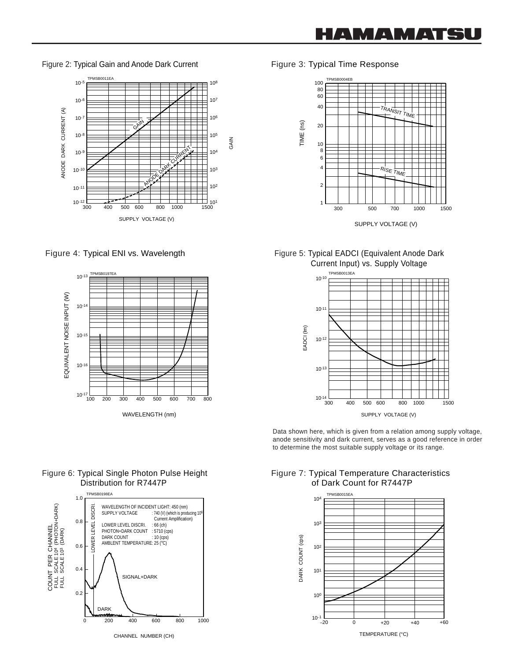Figure 2: Typical Gain and Anode Dark Current Figure 3: Typical Time Response





Figure 6: Typical Single Photon Pulse Height Distribution for R7447P



CHANNEL NUMBER (CH)



#### Figure 4: Typical ENI vs. Wavelength Figure 5: Typical EADCI (Equivalent Anode Dark Current Input) vs. Supply Voltage



Data shown here, which is given from a relation among supply voltage, anode sensitivity and dark current, serves as a good reference in order to determine the most suitable supply voltage or its range.

#### Figure 7: Typical Temperature Characteristics of Dark Count for R7447P